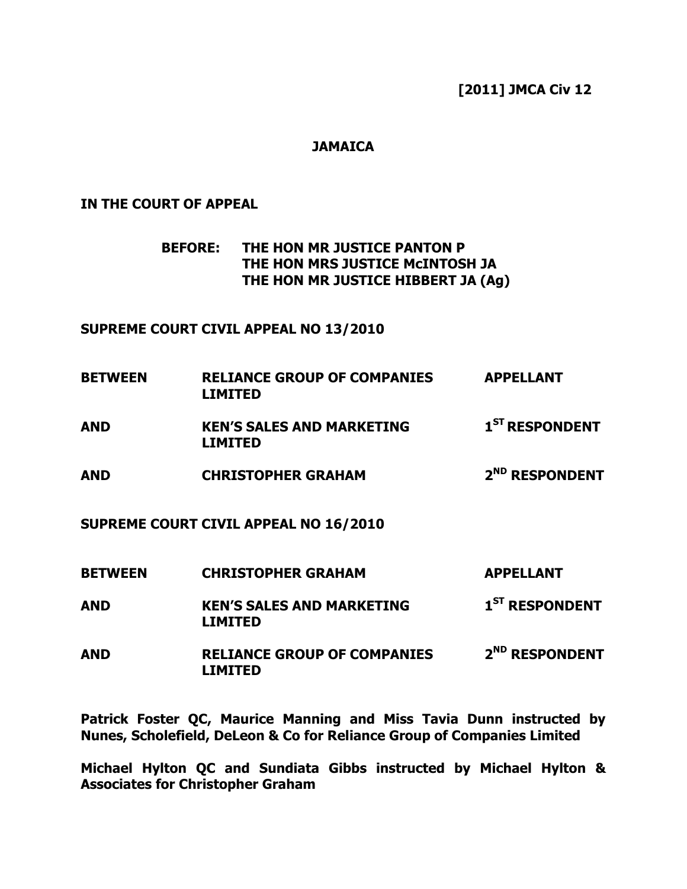[2011] JMCA Civ 12

### **JAMAICA**

#### IN THE COURT OF APPEAL

 BEFORE: THE HON MR JUSTICE PANTON P THE HON MRS JUSTICE McINTOSH JA THE HON MR JUSTICE HIBBERT JA (Ag)

#### SUPREME COURT CIVIL APPEAL NO 13/2010

| <b>BETWEEN</b> | <b>RELIANCE GROUP OF COMPANIES</b><br><b>LIMITED</b> | <b>APPELLANT</b>           |
|----------------|------------------------------------------------------|----------------------------|
| <b>AND</b>     | <b>KEN'S SALES AND MARKETING</b><br><b>LIMITED</b>   | 1 <sup>ST</sup> RESPONDENT |
| AND            | <b>CHRISTOPHER GRAHAM</b>                            | 2 <sup>ND</sup> RESPONDENT |
|                | SUPREME COURT CIVIL APPEAL NO 16/2010                |                            |
| <b>BETWEEN</b> | <b>CHRISTOPHER GRAHAM</b>                            | <b>APPELLANT</b>           |
| AND            | <b>KEN'S SALES AND MARKETING</b><br><b>LIMITED</b>   | 1 <sup>ST</sup> RESPONDENT |

AND RELIANCE GROUP OF COMPANIES 2<sup>ND</sup> RESPONDENT LIMITED

Patrick Foster QC, Maurice Manning and Miss Tavia Dunn instructed by Nunes, Scholefield, DeLeon & Co for Reliance Group of Companies Limited

Michael Hylton QC and Sundiata Gibbs instructed by Michael Hylton & Associates for Christopher Graham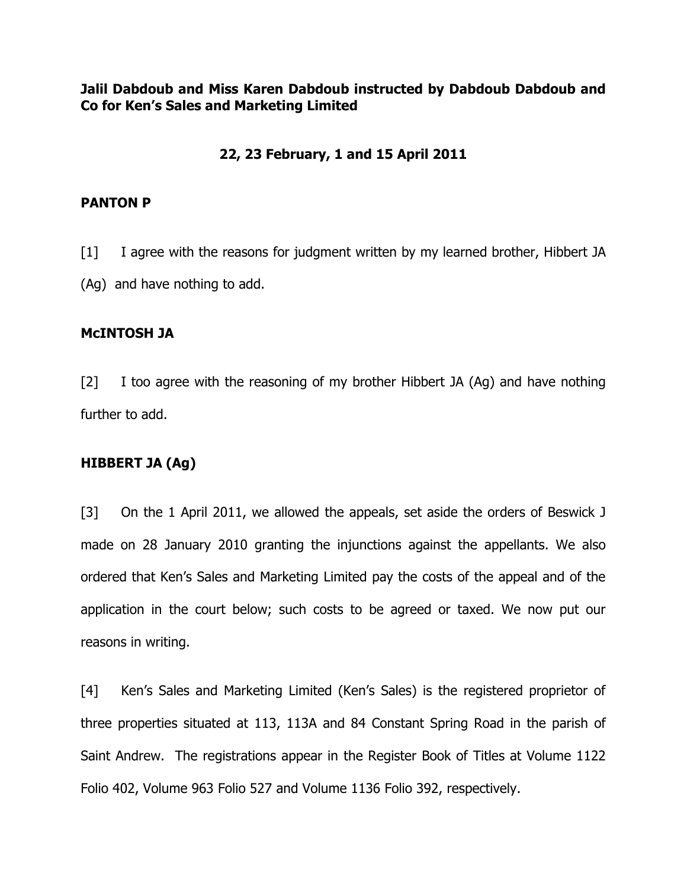Jalil Dabdoub and Miss Karen Dabdoub instructed by Dabdoub Dabdoub and Co for Ken's Sales and Marketing Limited

# 22, 23 February, 1 and 15 April 2011

#### PANTON P

[1] I agree with the reasons for judgment written by my learned brother, Hibbert JA (Ag) and have nothing to add.

#### McINTOSH JA

[2] I too agree with the reasoning of my brother Hibbert JA (Ag) and have nothing further to add.

#### HIBBERT JA (Ag)

[3] On the 1 April 2011, we allowed the appeals, set aside the orders of Beswick J made on 28 January 2010 granting the injunctions against the appellants. We also ordered that Ken's Sales and Marketing Limited pay the costs of the appeal and of the application in the court below; such costs to be agreed or taxed. We now put our reasons in writing.

[4] Ken's Sales and Marketing Limited (Ken's Sales) is the registered proprietor of three properties situated at 113, 113A and 84 Constant Spring Road in the parish of Saint Andrew. The registrations appear in the Register Book of Titles at Volume 1122 Folio 402, Volume 963 Folio 527 and Volume 1136 Folio 392, respectively.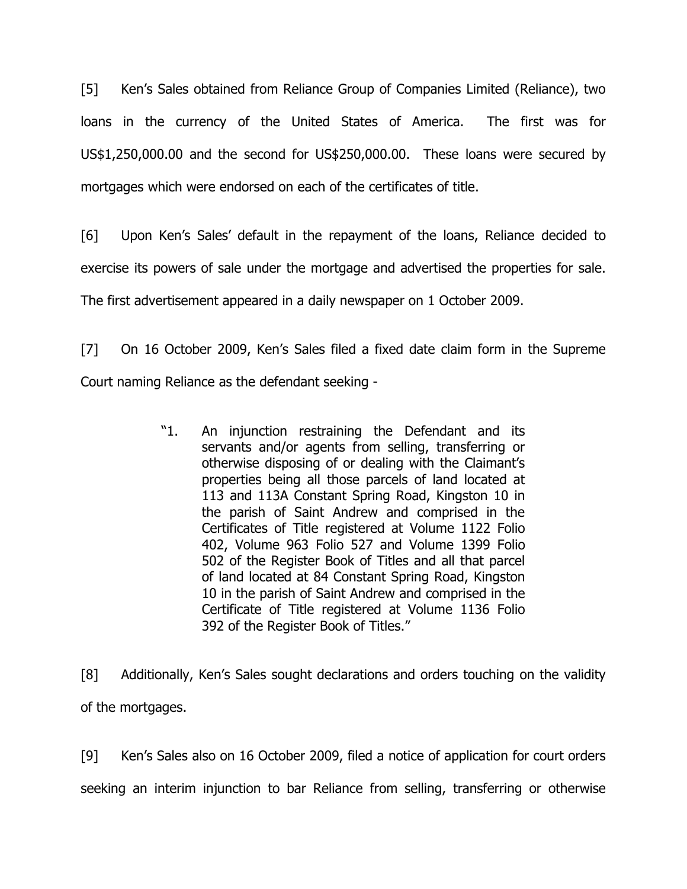[5] Ken's Sales obtained from Reliance Group of Companies Limited (Reliance), two loans in the currency of the United States of America. The first was for US\$1,250,000.00 and the second for US\$250,000.00. These loans were secured by mortgages which were endorsed on each of the certificates of title.

[6] Upon Ken's Sales' default in the repayment of the loans, Reliance decided to exercise its powers of sale under the mortgage and advertised the properties for sale. The first advertisement appeared in a daily newspaper on 1 October 2009.

[7] On 16 October 2009, Ken's Sales filed a fixed date claim form in the Supreme Court naming Reliance as the defendant seeking -

> "1. An injunction restraining the Defendant and its servants and/or agents from selling, transferring or otherwise disposing of or dealing with the Claimant's properties being all those parcels of land located at 113 and 113A Constant Spring Road, Kingston 10 in the parish of Saint Andrew and comprised in the Certificates of Title registered at Volume 1122 Folio 402, Volume 963 Folio 527 and Volume 1399 Folio 502 of the Register Book of Titles and all that parcel of land located at 84 Constant Spring Road, Kingston 10 in the parish of Saint Andrew and comprised in the Certificate of Title registered at Volume 1136 Folio 392 of the Register Book of Titles."

[8] Additionally, Ken's Sales sought declarations and orders touching on the validity of the mortgages.

[9] Ken's Sales also on 16 October 2009, filed a notice of application for court orders seeking an interim injunction to bar Reliance from selling, transferring or otherwise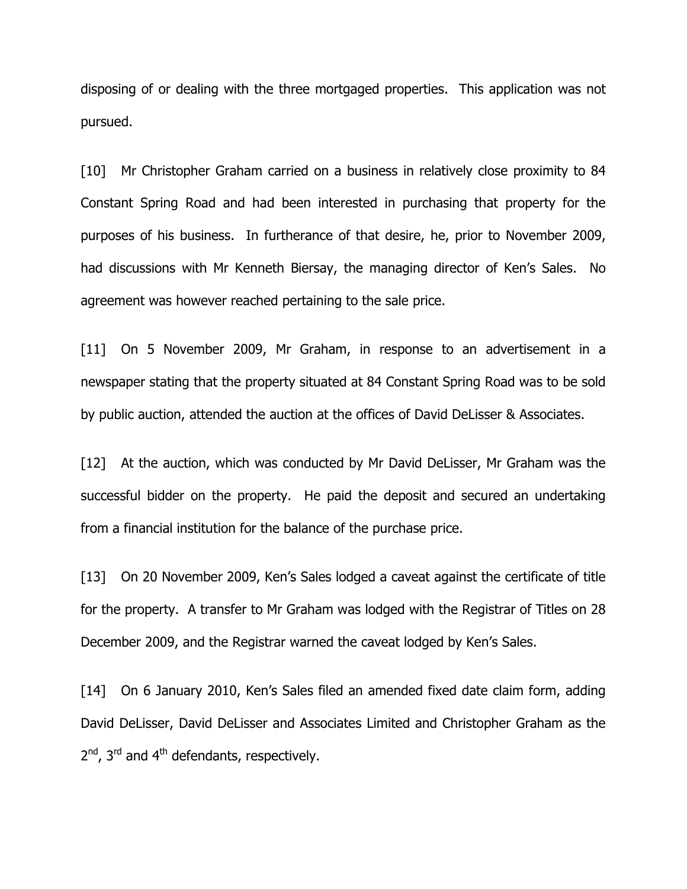disposing of or dealing with the three mortgaged properties. This application was not pursued.

[10] Mr Christopher Graham carried on a business in relatively close proximity to 84 Constant Spring Road and had been interested in purchasing that property for the purposes of his business. In furtherance of that desire, he, prior to November 2009, had discussions with Mr Kenneth Biersay, the managing director of Ken's Sales. No agreement was however reached pertaining to the sale price.

[11] On 5 November 2009, Mr Graham, in response to an advertisement in a newspaper stating that the property situated at 84 Constant Spring Road was to be sold by public auction, attended the auction at the offices of David DeLisser & Associates.

[12] At the auction, which was conducted by Mr David DeLisser, Mr Graham was the successful bidder on the property. He paid the deposit and secured an undertaking from a financial institution for the balance of the purchase price.

[13] On 20 November 2009, Ken's Sales lodged a caveat against the certificate of title for the property. A transfer to Mr Graham was lodged with the Registrar of Titles on 28 December 2009, and the Registrar warned the caveat lodged by Ken's Sales.

[14] On 6 January 2010, Ken's Sales filed an amended fixed date claim form, adding David DeLisser, David DeLisser and Associates Limited and Christopher Graham as the 2<sup>nd</sup>, 3<sup>rd</sup> and 4<sup>th</sup> defendants, respectively.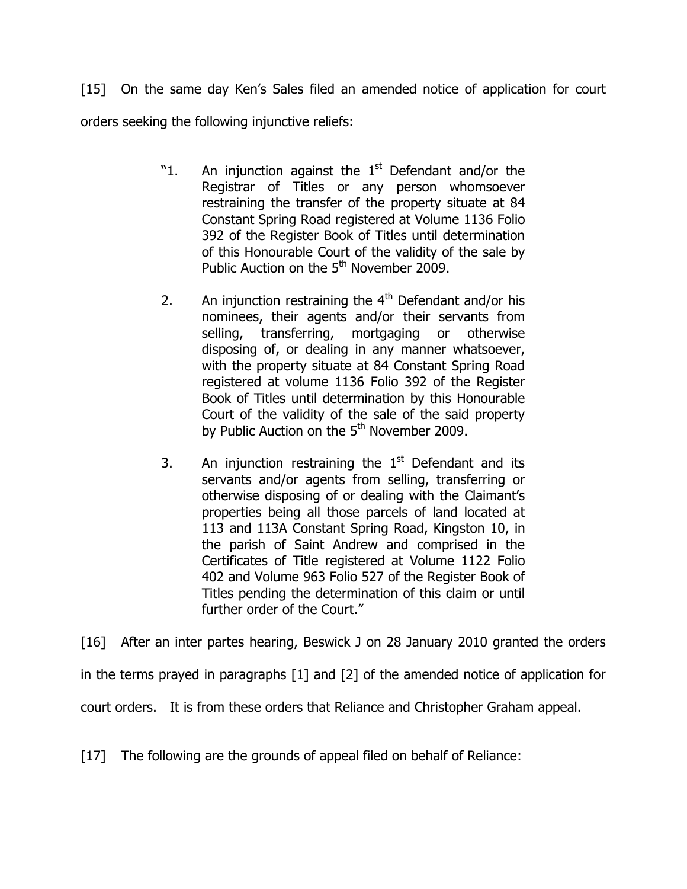[15] On the same day Ken's Sales filed an amended notice of application for court orders seeking the following injunctive reliefs:

- "1. An injunction against the  $1<sup>st</sup>$  Defendant and/or the Registrar of Titles or any person whomsoever restraining the transfer of the property situate at 84 Constant Spring Road registered at Volume 1136 Folio 392 of the Register Book of Titles until determination of this Honourable Court of the validity of the sale by Public Auction on the  $5<sup>th</sup>$  November 2009.
- 2. An injunction restraining the  $4<sup>th</sup>$  Defendant and/or his nominees, their agents and/or their servants from selling, transferring, mortgaging or otherwise disposing of, or dealing in any manner whatsoever, with the property situate at 84 Constant Spring Road registered at volume 1136 Folio 392 of the Register Book of Titles until determination by this Honourable Court of the validity of the sale of the said property by Public Auction on the  $5<sup>th</sup>$  November 2009.
- 3. An injunction restraining the  $1<sup>st</sup>$  Defendant and its servants and/or agents from selling, transferring or otherwise disposing of or dealing with the Claimant's properties being all those parcels of land located at 113 and 113A Constant Spring Road, Kingston 10, in the parish of Saint Andrew and comprised in the Certificates of Title registered at Volume 1122 Folio 402 and Volume 963 Folio 527 of the Register Book of Titles pending the determination of this claim or until further order of the Court."

[16] After an inter partes hearing, Beswick J on 28 January 2010 granted the orders in the terms prayed in paragraphs [1] and [2] of the amended notice of application for court orders. It is from these orders that Reliance and Christopher Graham appeal.

[17] The following are the grounds of appeal filed on behalf of Reliance: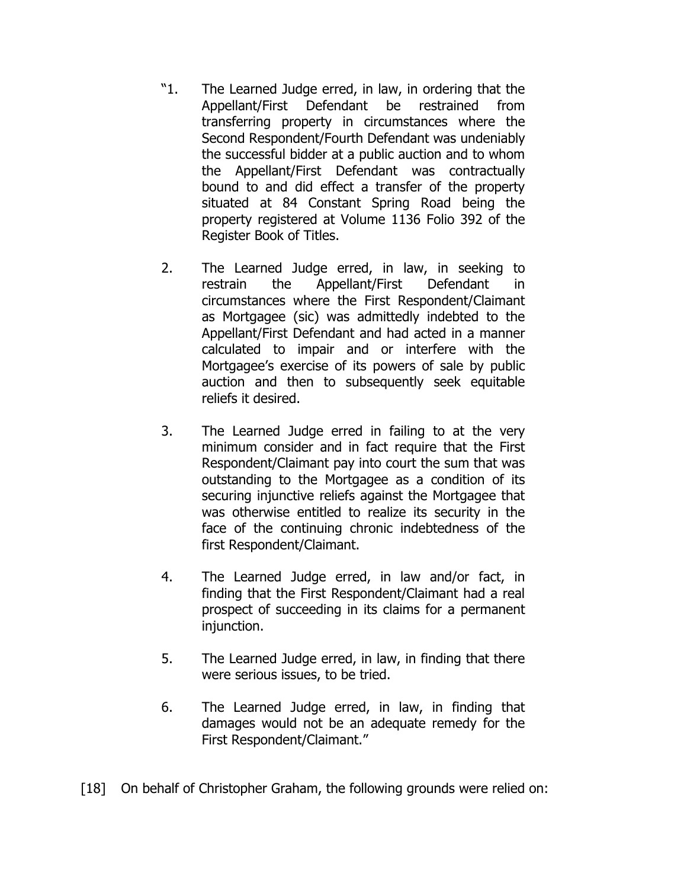- "1. The Learned Judge erred, in law, in ordering that the Appellant/First Defendant be restrained from transferring property in circumstances where the Second Respondent/Fourth Defendant was undeniably the successful bidder at a public auction and to whom the Appellant/First Defendant was contractually bound to and did effect a transfer of the property situated at 84 Constant Spring Road being the property registered at Volume 1136 Folio 392 of the Register Book of Titles.
- 2. The Learned Judge erred, in law, in seeking to restrain the Appellant/First Defendant in circumstances where the First Respondent/Claimant as Mortgagee (sic) was admittedly indebted to the Appellant/First Defendant and had acted in a manner calculated to impair and or interfere with the Mortgagee's exercise of its powers of sale by public auction and then to subsequently seek equitable reliefs it desired.
- 3. The Learned Judge erred in failing to at the very minimum consider and in fact require that the First Respondent/Claimant pay into court the sum that was outstanding to the Mortgagee as a condition of its securing injunctive reliefs against the Mortgagee that was otherwise entitled to realize its security in the face of the continuing chronic indebtedness of the first Respondent/Claimant.
- 4. The Learned Judge erred, in law and/or fact, in finding that the First Respondent/Claimant had a real prospect of succeeding in its claims for a permanent injunction.
- 5. The Learned Judge erred, in law, in finding that there were serious issues, to be tried.
- 6. The Learned Judge erred, in law, in finding that damages would not be an adequate remedy for the First Respondent/Claimant."

[18] On behalf of Christopher Graham, the following grounds were relied on: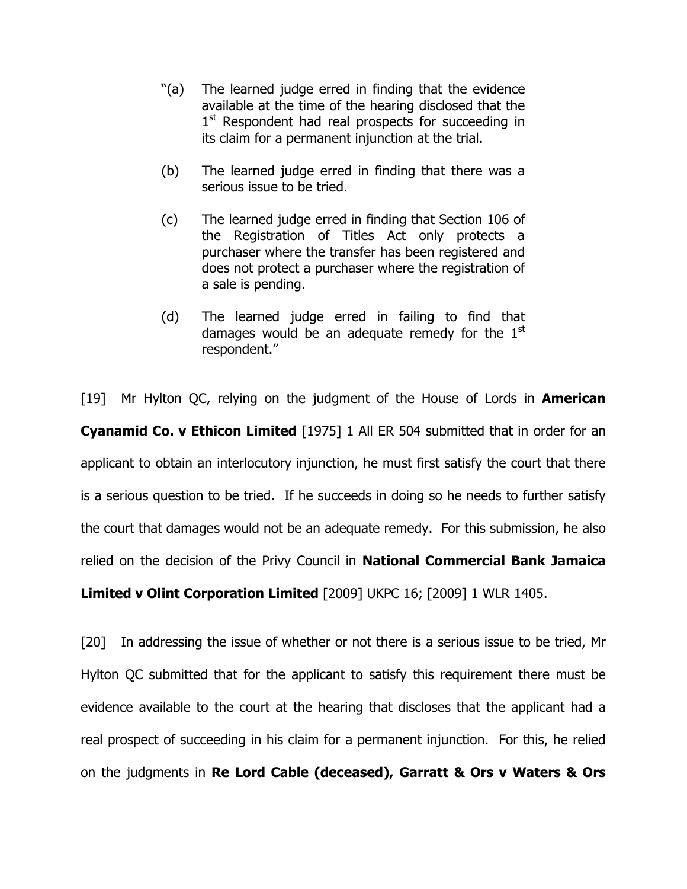- "(a) The learned judge erred in finding that the evidence available at the time of the hearing disclosed that the 1<sup>st</sup> Respondent had real prospects for succeeding in its claim for a permanent injunction at the trial.
- (b) The learned judge erred in finding that there was a serious issue to be tried.
- (c) The learned judge erred in finding that Section 106 of the Registration of Titles Act only protects a purchaser where the transfer has been registered and does not protect a purchaser where the registration of a sale is pending.
- (d) The learned judge erred in failing to find that damages would be an adequate remedy for the  $1<sup>st</sup>$ respondent."

[19] Mr Hylton QC, relying on the judgment of the House of Lords in **American Cyanamid Co. v Ethicon Limited** [1975] 1 All ER 504 submitted that in order for an applicant to obtain an interlocutory injunction, he must first satisfy the court that there is a serious question to be tried. If he succeeds in doing so he needs to further satisfy the court that damages would not be an adequate remedy. For this submission, he also relied on the decision of the Privy Council in **National Commercial Bank Jamaica** Limited v Olint Corporation Limited [2009] UKPC 16; [2009] 1 WLR 1405.

[20] In addressing the issue of whether or not there is a serious issue to be tried, Mr Hylton QC submitted that for the applicant to satisfy this requirement there must be evidence available to the court at the hearing that discloses that the applicant had a real prospect of succeeding in his claim for a permanent injunction. For this, he relied on the judgments in Re Lord Cable (deceased), Garratt & Ors v Waters & Ors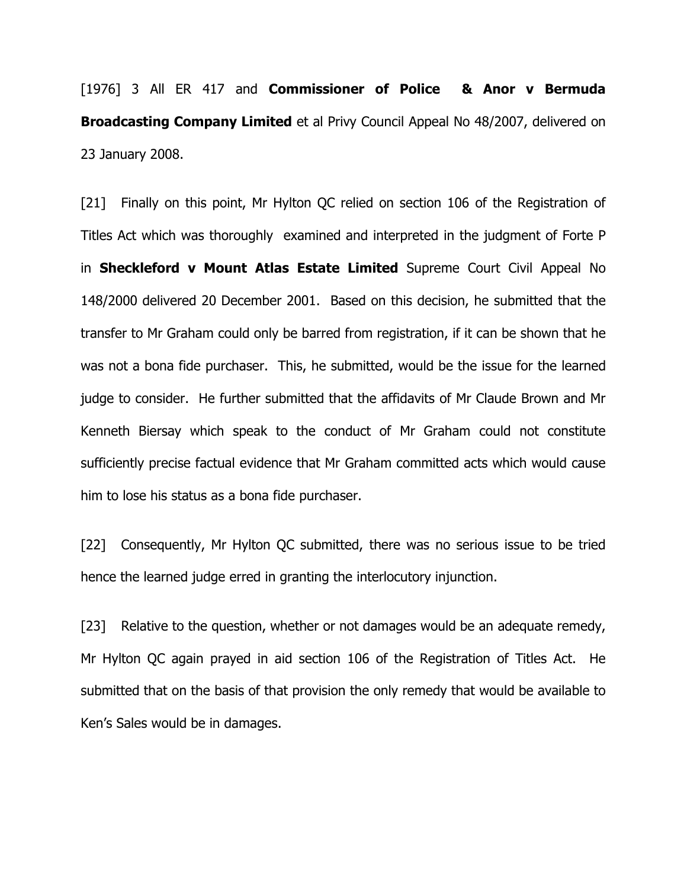[1976] 3 All ER 417 and Commissioner of Police & Anor v Bermuda **Broadcasting Company Limited** et al Privy Council Appeal No 48/2007, delivered on 23 January 2008.

[21] Finally on this point, Mr Hylton QC relied on section 106 of the Registration of Titles Act which was thoroughly examined and interpreted in the judgment of Forte P in Sheckleford v Mount Atlas Estate Limited Supreme Court Civil Appeal No 148/2000 delivered 20 December 2001. Based on this decision, he submitted that the transfer to Mr Graham could only be barred from registration, if it can be shown that he was not a bona fide purchaser. This, he submitted, would be the issue for the learned judge to consider. He further submitted that the affidavits of Mr Claude Brown and Mr Kenneth Biersay which speak to the conduct of Mr Graham could not constitute sufficiently precise factual evidence that Mr Graham committed acts which would cause him to lose his status as a bona fide purchaser.

[22] Consequently, Mr Hylton QC submitted, there was no serious issue to be tried hence the learned judge erred in granting the interlocutory injunction.

[23] Relative to the question, whether or not damages would be an adequate remedy, Mr Hylton QC again prayed in aid section 106 of the Registration of Titles Act. He submitted that on the basis of that provision the only remedy that would be available to Ken's Sales would be in damages.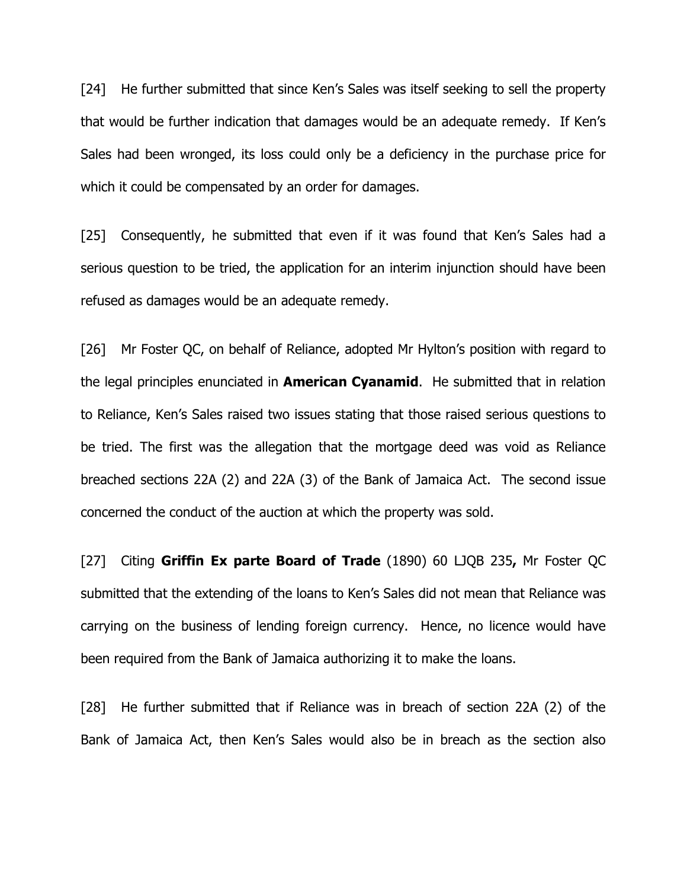[24] He further submitted that since Ken's Sales was itself seeking to sell the property that would be further indication that damages would be an adequate remedy. If Ken's Sales had been wronged, its loss could only be a deficiency in the purchase price for which it could be compensated by an order for damages.

[25] Consequently, he submitted that even if it was found that Ken's Sales had a serious question to be tried, the application for an interim injunction should have been refused as damages would be an adequate remedy.

[26] Mr Foster QC, on behalf of Reliance, adopted Mr Hylton's position with regard to the legal principles enunciated in **American Cyanamid**. He submitted that in relation to Reliance, Ken's Sales raised two issues stating that those raised serious questions to be tried. The first was the allegation that the mortgage deed was void as Reliance breached sections 22A (2) and 22A (3) of the Bank of Jamaica Act. The second issue concerned the conduct of the auction at which the property was sold.

[27] Citing Griffin Ex parte Board of Trade (1890) 60 LJQB 235, Mr Foster QC submitted that the extending of the loans to Ken's Sales did not mean that Reliance was carrying on the business of lending foreign currency. Hence, no licence would have been required from the Bank of Jamaica authorizing it to make the loans.

[28] He further submitted that if Reliance was in breach of section 22A (2) of the Bank of Jamaica Act, then Ken's Sales would also be in breach as the section also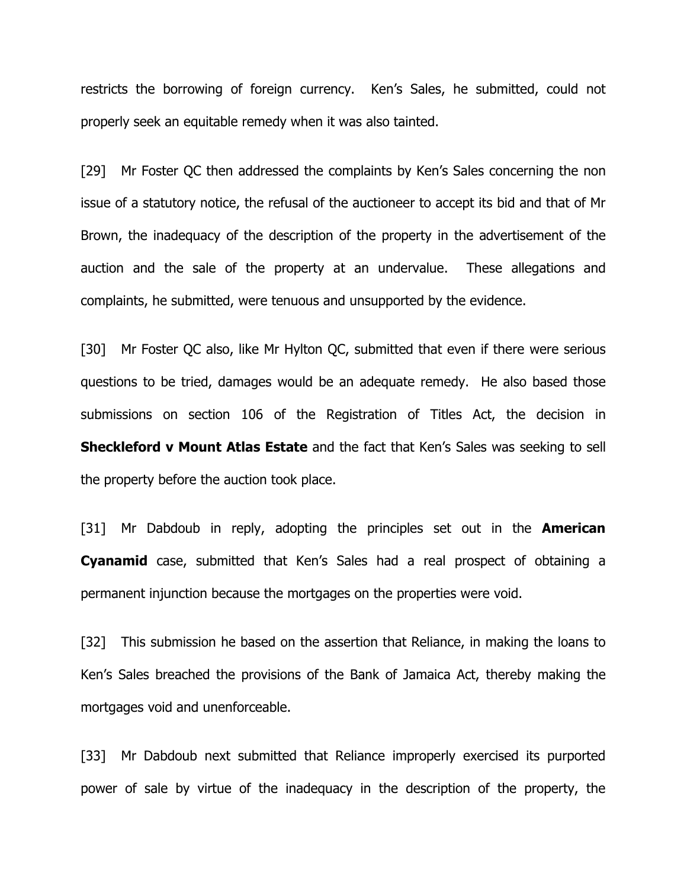restricts the borrowing of foreign currency. Ken's Sales, he submitted, could not properly seek an equitable remedy when it was also tainted.

[29] Mr Foster QC then addressed the complaints by Ken's Sales concerning the non issue of a statutory notice, the refusal of the auctioneer to accept its bid and that of Mr Brown, the inadequacy of the description of the property in the advertisement of the auction and the sale of the property at an undervalue. These allegations and complaints, he submitted, were tenuous and unsupported by the evidence.

[30] Mr Foster QC also, like Mr Hylton QC, submitted that even if there were serious questions to be tried, damages would be an adequate remedy. He also based those submissions on section 106 of the Registration of Titles Act, the decision in **Sheckleford v Mount Atlas Estate** and the fact that Ken's Sales was seeking to sell the property before the auction took place.

[31] Mr Dabdoub in reply, adopting the principles set out in the **American Cyanamid** case, submitted that Ken's Sales had a real prospect of obtaining a permanent injunction because the mortgages on the properties were void.

[32] This submission he based on the assertion that Reliance, in making the loans to Ken's Sales breached the provisions of the Bank of Jamaica Act, thereby making the mortgages void and unenforceable.

[33] Mr Dabdoub next submitted that Reliance improperly exercised its purported power of sale by virtue of the inadequacy in the description of the property, the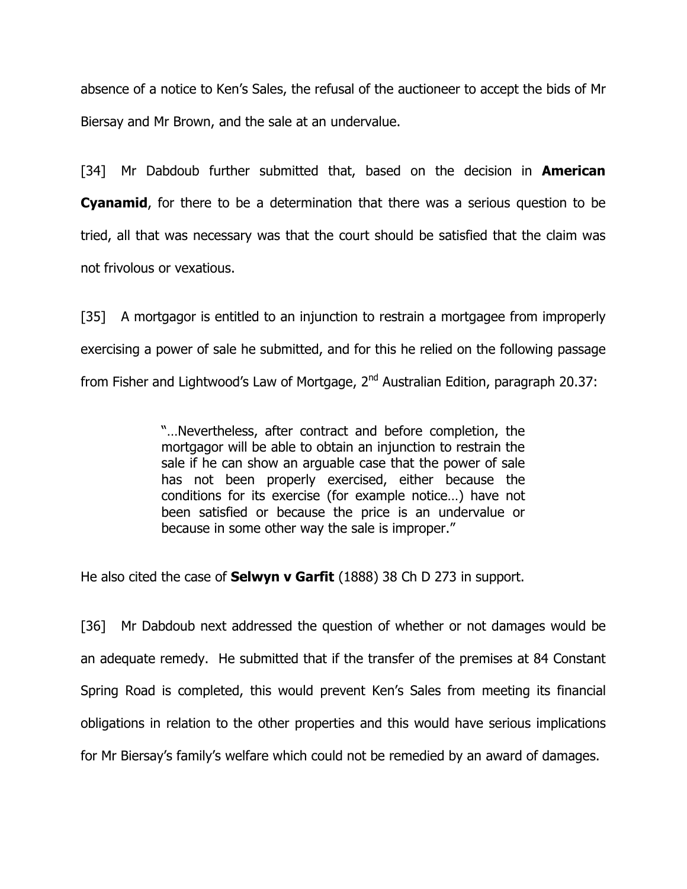absence of a notice to Ken's Sales, the refusal of the auctioneer to accept the bids of Mr Biersay and Mr Brown, and the sale at an undervalue.

[34] Mr Dabdoub further submitted that, based on the decision in **American Cyanamid**, for there to be a determination that there was a serious question to be tried, all that was necessary was that the court should be satisfied that the claim was not frivolous or vexatious.

[35] A mortgagor is entitled to an injunction to restrain a mortgagee from improperly exercising a power of sale he submitted, and for this he relied on the following passage from Fisher and Lightwood's Law of Mortgage, 2<sup>nd</sup> Australian Edition, paragraph 20.37:

> "…Nevertheless, after contract and before completion, the mortgagor will be able to obtain an injunction to restrain the sale if he can show an arguable case that the power of sale has not been properly exercised, either because the conditions for its exercise (for example notice…) have not been satisfied or because the price is an undervalue or because in some other way the sale is improper."

He also cited the case of **Selwyn v Garfit** (1888) 38 Ch D 273 in support.

[36] Mr Dabdoub next addressed the question of whether or not damages would be an adequate remedy. He submitted that if the transfer of the premises at 84 Constant Spring Road is completed, this would prevent Ken's Sales from meeting its financial obligations in relation to the other properties and this would have serious implications for Mr Biersay's family's welfare which could not be remedied by an award of damages.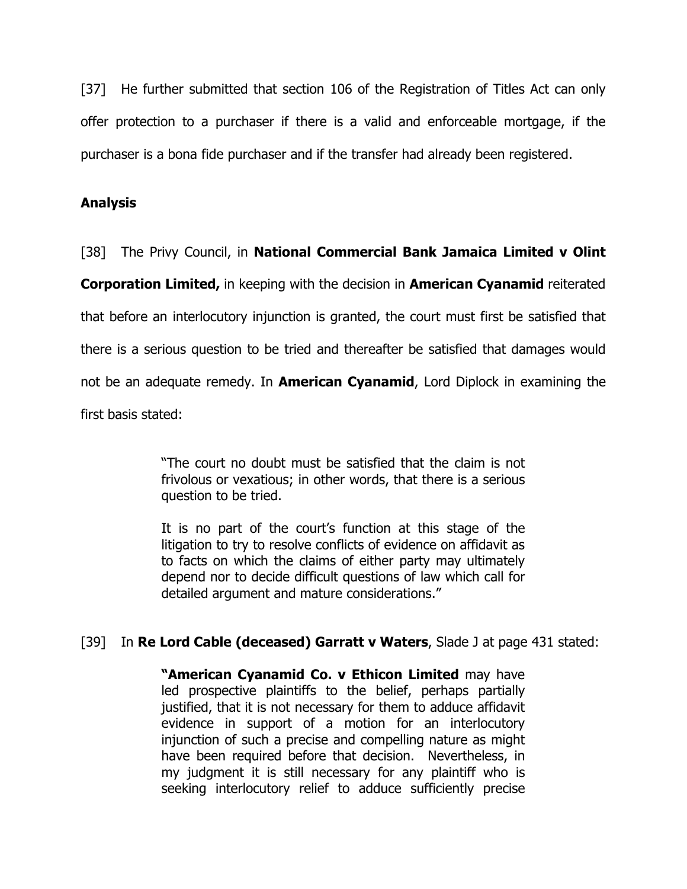[37] He further submitted that section 106 of the Registration of Titles Act can only offer protection to a purchaser if there is a valid and enforceable mortgage, if the purchaser is a bona fide purchaser and if the transfer had already been registered.

## Analysis

#### [38] The Privy Council, in **National Commercial Bank Jamaica Limited v Olint**

Corporation Limited, in keeping with the decision in American Cyanamid reiterated

that before an interlocutory injunction is granted, the court must first be satisfied that

there is a serious question to be tried and thereafter be satisfied that damages would

not be an adequate remedy. In **American Cyanamid**, Lord Diplock in examining the

first basis stated:

"The court no doubt must be satisfied that the claim is not frivolous or vexatious; in other words, that there is a serious question to be tried.

It is no part of the court's function at this stage of the litigation to try to resolve conflicts of evidence on affidavit as to facts on which the claims of either party may ultimately depend nor to decide difficult questions of law which call for detailed argument and mature considerations."

## [39] In Re Lord Cable (deceased) Garratt v Waters, Slade J at page 431 stated:

"American Cyanamid Co. v Ethicon Limited may have led prospective plaintiffs to the belief, perhaps partially justified, that it is not necessary for them to adduce affidavit evidence in support of a motion for an interlocutory injunction of such a precise and compelling nature as might have been required before that decision. Nevertheless, in my judgment it is still necessary for any plaintiff who is seeking interlocutory relief to adduce sufficiently precise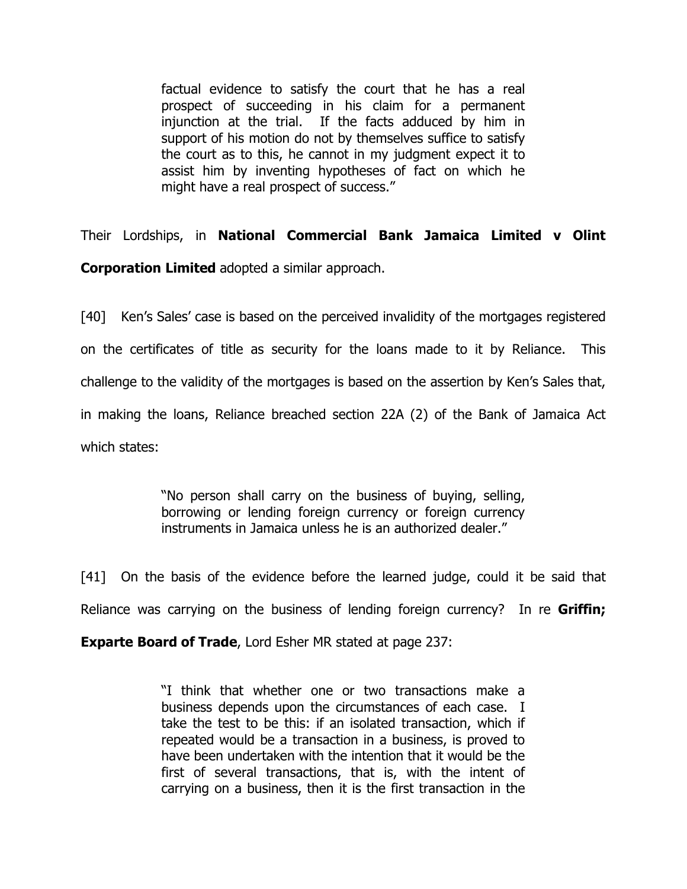factual evidence to satisfy the court that he has a real prospect of succeeding in his claim for a permanent injunction at the trial. If the facts adduced by him in support of his motion do not by themselves suffice to satisfy the court as to this, he cannot in my judgment expect it to assist him by inventing hypotheses of fact on which he might have a real prospect of success."

Their Lordships, in National Commercial Bank Jamaica Limited v Olint Corporation Limited adopted a similar approach.

[40] Ken's Sales' case is based on the perceived invalidity of the mortgages registered on the certificates of title as security for the loans made to it by Reliance. This challenge to the validity of the mortgages is based on the assertion by Ken's Sales that, in making the loans, Reliance breached section 22A (2) of the Bank of Jamaica Act which states:

> "No person shall carry on the business of buying, selling, borrowing or lending foreign currency or foreign currency instruments in Jamaica unless he is an authorized dealer."

[41] On the basis of the evidence before the learned judge, could it be said that Reliance was carrying on the business of lending foreign currency? In re **Griffin;** 

Exparte Board of Trade, Lord Esher MR stated at page 237:

"I think that whether one or two transactions make a business depends upon the circumstances of each case. I take the test to be this: if an isolated transaction, which if repeated would be a transaction in a business, is proved to have been undertaken with the intention that it would be the first of several transactions, that is, with the intent of carrying on a business, then it is the first transaction in the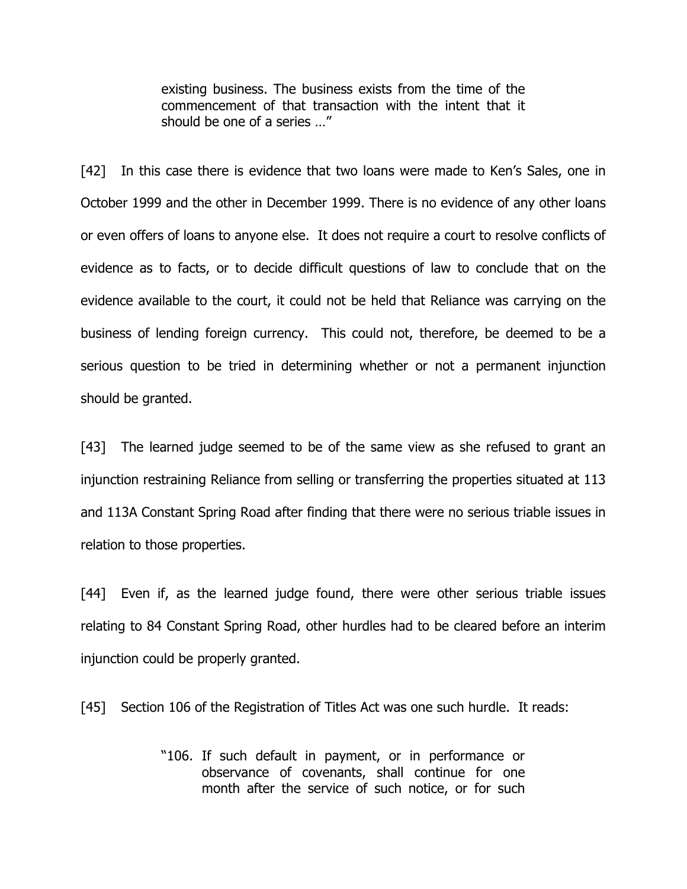existing business. The business exists from the time of the commencement of that transaction with the intent that it should be one of a series …"

[42] In this case there is evidence that two loans were made to Ken's Sales, one in October 1999 and the other in December 1999. There is no evidence of any other loans or even offers of loans to anyone else. It does not require a court to resolve conflicts of evidence as to facts, or to decide difficult questions of law to conclude that on the evidence available to the court, it could not be held that Reliance was carrying on the business of lending foreign currency. This could not, therefore, be deemed to be a serious question to be tried in determining whether or not a permanent injunction should be granted.

[43] The learned judge seemed to be of the same view as she refused to grant an injunction restraining Reliance from selling or transferring the properties situated at 113 and 113A Constant Spring Road after finding that there were no serious triable issues in relation to those properties.

[44] Even if, as the learned judge found, there were other serious triable issues relating to 84 Constant Spring Road, other hurdles had to be cleared before an interim injunction could be properly granted.

[45] Section 106 of the Registration of Titles Act was one such hurdle. It reads:

"106. If such default in payment, or in performance or observance of covenants, shall continue for one month after the service of such notice, or for such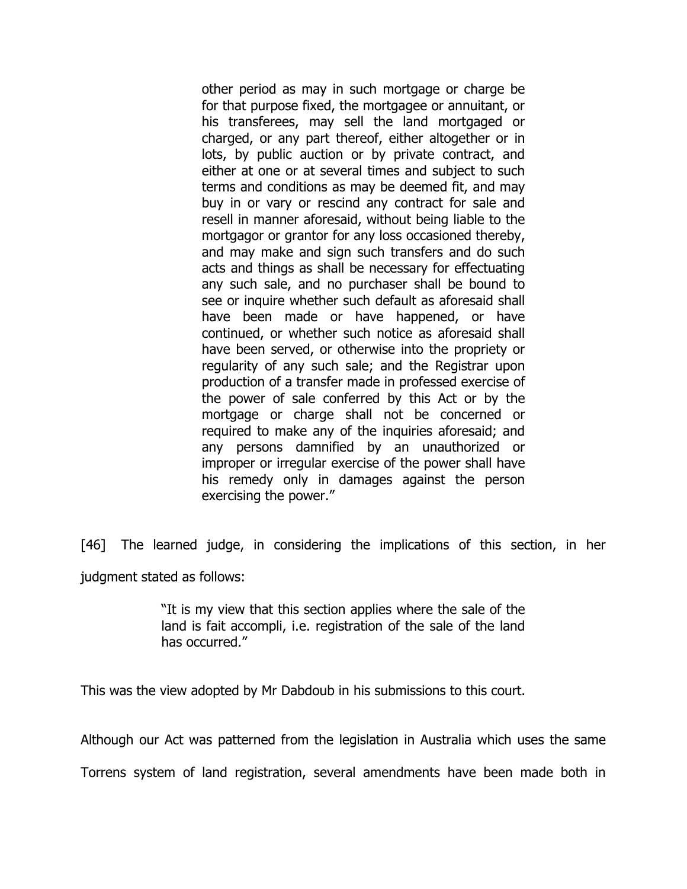other period as may in such mortgage or charge be for that purpose fixed, the mortgagee or annuitant, or his transferees, may sell the land mortgaged or charged, or any part thereof, either altogether or in lots, by public auction or by private contract, and either at one or at several times and subject to such terms and conditions as may be deemed fit, and may buy in or vary or rescind any contract for sale and resell in manner aforesaid, without being liable to the mortgagor or grantor for any loss occasioned thereby, and may make and sign such transfers and do such acts and things as shall be necessary for effectuating any such sale, and no purchaser shall be bound to see or inquire whether such default as aforesaid shall have been made or have happened, or have continued, or whether such notice as aforesaid shall have been served, or otherwise into the propriety or regularity of any such sale; and the Registrar upon production of a transfer made in professed exercise of the power of sale conferred by this Act or by the mortgage or charge shall not be concerned or required to make any of the inquiries aforesaid; and any persons damnified by an unauthorized or improper or irregular exercise of the power shall have his remedy only in damages against the person exercising the power."

[46] The learned judge, in considering the implications of this section, in her judgment stated as follows:

> "It is my view that this section applies where the sale of the land is fait accompli, i.e. registration of the sale of the land has occurred."

This was the view adopted by Mr Dabdoub in his submissions to this court.

Although our Act was patterned from the legislation in Australia which uses the same

Torrens system of land registration, several amendments have been made both in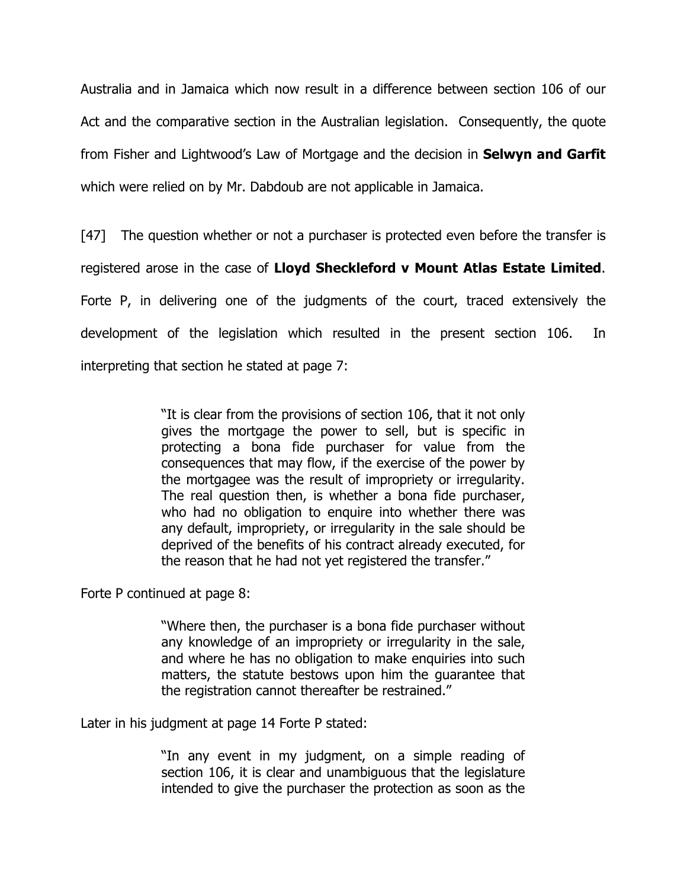Australia and in Jamaica which now result in a difference between section 106 of our Act and the comparative section in the Australian legislation. Consequently, the quote from Fisher and Lightwood's Law of Mortgage and the decision in **Selwyn and Garfit** which were relied on by Mr. Dabdoub are not applicable in Jamaica.

[47] The question whether or not a purchaser is protected even before the transfer is registered arose in the case of Lloyd Sheckleford v Mount Atlas Estate Limited. Forte P, in delivering one of the judgments of the court, traced extensively the development of the legislation which resulted in the present section 106. In interpreting that section he stated at page 7:

> "It is clear from the provisions of section 106, that it not only gives the mortgage the power to sell, but is specific in protecting a bona fide purchaser for value from the consequences that may flow, if the exercise of the power by the mortgagee was the result of impropriety or irregularity. The real question then, is whether a bona fide purchaser, who had no obligation to enquire into whether there was any default, impropriety, or irregularity in the sale should be deprived of the benefits of his contract already executed, for the reason that he had not yet registered the transfer."

Forte P continued at page 8:

"Where then, the purchaser is a bona fide purchaser without any knowledge of an impropriety or irregularity in the sale, and where he has no obligation to make enquiries into such matters, the statute bestows upon him the guarantee that the registration cannot thereafter be restrained."

Later in his judgment at page 14 Forte P stated:

"In any event in my judgment, on a simple reading of section 106, it is clear and unambiguous that the legislature intended to give the purchaser the protection as soon as the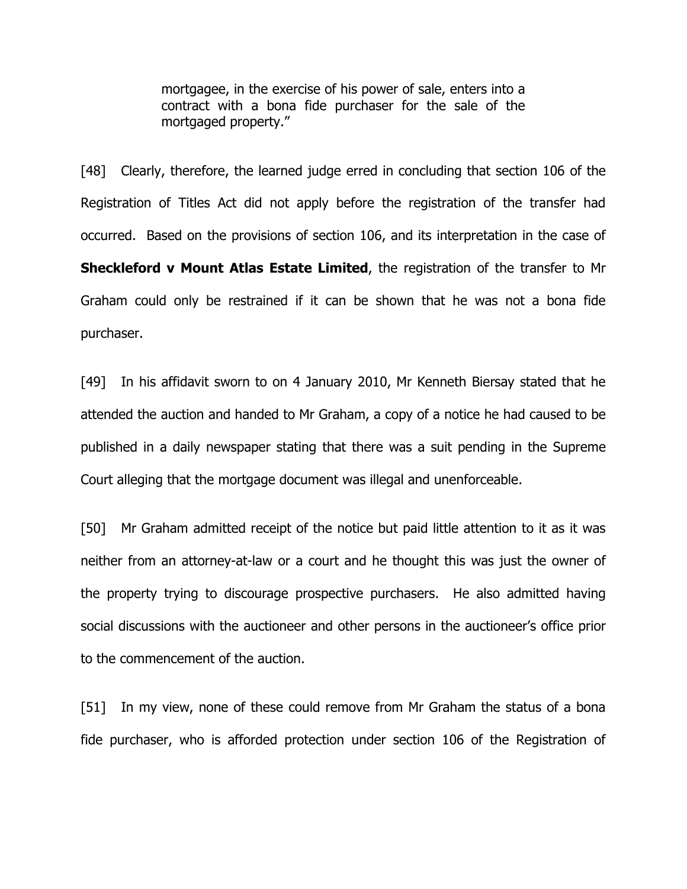mortgagee, in the exercise of his power of sale, enters into a contract with a bona fide purchaser for the sale of the mortgaged property."

[48] Clearly, therefore, the learned judge erred in concluding that section 106 of the Registration of Titles Act did not apply before the registration of the transfer had occurred. Based on the provisions of section 106, and its interpretation in the case of Sheckleford v Mount Atlas Estate Limited, the registration of the transfer to Mr Graham could only be restrained if it can be shown that he was not a bona fide purchaser.

[49] In his affidavit sworn to on 4 January 2010, Mr Kenneth Biersay stated that he attended the auction and handed to Mr Graham, a copy of a notice he had caused to be published in a daily newspaper stating that there was a suit pending in the Supreme Court alleging that the mortgage document was illegal and unenforceable.

[50] Mr Graham admitted receipt of the notice but paid little attention to it as it was neither from an attorney-at-law or a court and he thought this was just the owner of the property trying to discourage prospective purchasers. He also admitted having social discussions with the auctioneer and other persons in the auctioneer's office prior to the commencement of the auction.

[51] In my view, none of these could remove from Mr Graham the status of a bona fide purchaser, who is afforded protection under section 106 of the Registration of